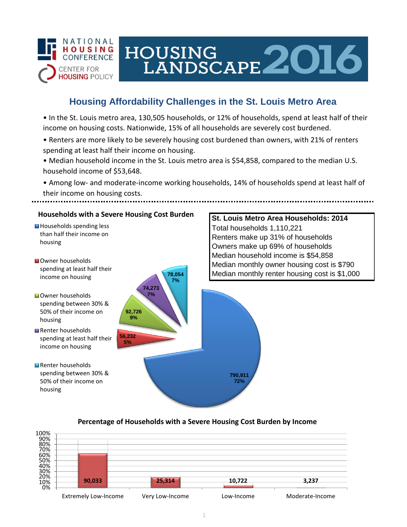

# **Housing Affordability Challenges in the St. Louis Metro Area**

HOUSING<br>LANDSCAPE 2016

• In the St. Louis metro area, 130,505 households, or 12% of households, spend at least half of their income on housing costs. Nationwide, 15% of all households are severely cost burdened.

- Renters are more likely to be severely housing cost burdened than owners, with 21% of renters spending at least half their income on housing.
- Median household income in the St. Louis metro area is \$54,858, compared to the median U.S. household income of \$53,648.

• Among low- and moderate-income working households, 14% of households spend at least half of their income on housing costs.



#### **Percentage of Households with a Severe Housing Cost Burden by Income**